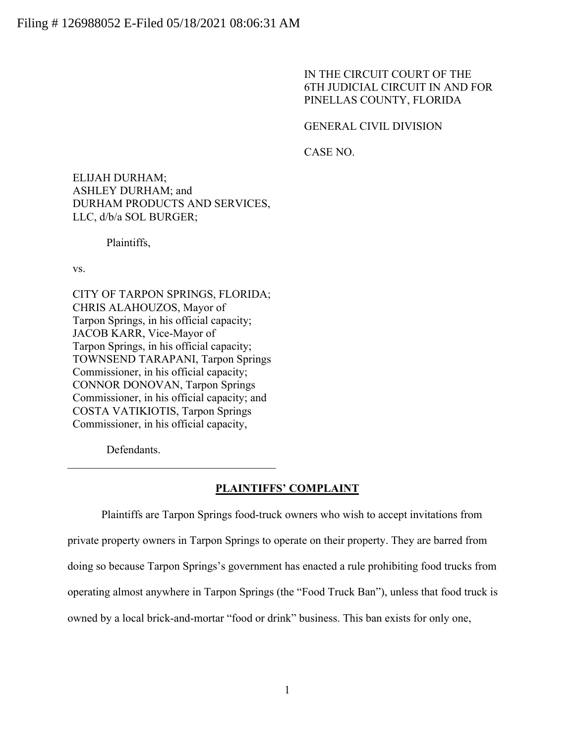IN THE CIRCUIT COURT OF THE 6TH JUDICIAL CIRCUIT IN AND FOR PINELLAS COUNTY, FLORIDA

GENERAL CIVIL DIVISION

CASE NO.

ELIJAH DURHAM; ASHLEY DURHAM; and DURHAM PRODUCTS AND SERVICES, LLC, d/b/a SOL BURGER;

Plaintiffs,

vs.

CITY OF TARPON SPRINGS, FLORIDA; CHRIS ALAHOUZOS, Mayor of Tarpon Springs, in his official capacity; JACOB KARR, Vice-Mayor of Tarpon Springs, in his official capacity; TOWNSEND TARAPANI, Tarpon Springs Commissioner, in his official capacity; CONNOR DONOVAN, Tarpon Springs Commissioner, in his official capacity; and COSTA VATIKIOTIS, Tarpon Springs Commissioner, in his official capacity,

Defendants.

### **PLAINTIFFS' COMPLAINT**

Plaintiffs are Tarpon Springs food-truck owners who wish to accept invitations from private property owners in Tarpon Springs to operate on their property. They are barred from doing so because Tarpon Springs's government has enacted a rule prohibiting food trucks from operating almost anywhere in Tarpon Springs (the "Food Truck Ban"), unless that food truck is owned by a local brick-and-mortar "food or drink" business. This ban exists for only one,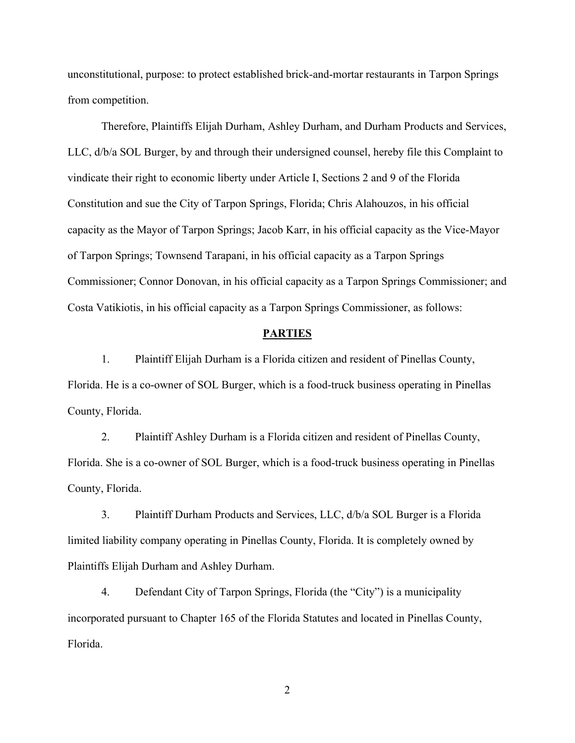unconstitutional, purpose: to protect established brick-and-mortar restaurants in Tarpon Springs from competition.

Therefore, Plaintiffs Elijah Durham, Ashley Durham, and Durham Products and Services, LLC, d/b/a SOL Burger, by and through their undersigned counsel, hereby file this Complaint to vindicate their right to economic liberty under Article I, Sections 2 and 9 of the Florida Constitution and sue the City of Tarpon Springs, Florida; Chris Alahouzos, in his official capacity as the Mayor of Tarpon Springs; Jacob Karr, in his official capacity as the Vice-Mayor of Tarpon Springs; Townsend Tarapani, in his official capacity as a Tarpon Springs Commissioner; Connor Donovan, in his official capacity as a Tarpon Springs Commissioner; and Costa Vatikiotis, in his official capacity as a Tarpon Springs Commissioner, as follows:

### **PARTIES**

1. Plaintiff Elijah Durham is a Florida citizen and resident of Pinellas County, Florida. He is a co-owner of SOL Burger, which is a food-truck business operating in Pinellas County, Florida.

2. Plaintiff Ashley Durham is a Florida citizen and resident of Pinellas County, Florida. She is a co-owner of SOL Burger, which is a food-truck business operating in Pinellas County, Florida.

3. Plaintiff Durham Products and Services, LLC, d/b/a SOL Burger is a Florida limited liability company operating in Pinellas County, Florida. It is completely owned by Plaintiffs Elijah Durham and Ashley Durham.

4. Defendant City of Tarpon Springs, Florida (the "City") is a municipality incorporated pursuant to Chapter 165 of the Florida Statutes and located in Pinellas County, Florida.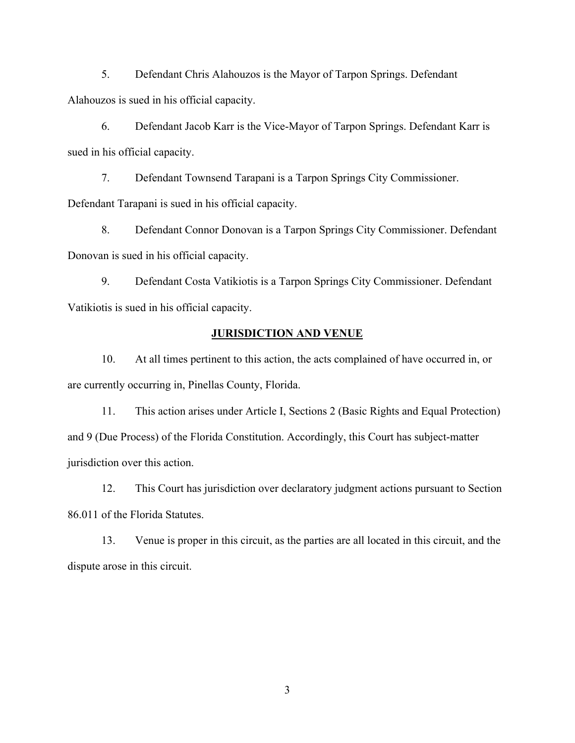5. Defendant Chris Alahouzos is the Mayor of Tarpon Springs. Defendant Alahouzos is sued in his official capacity.

6. Defendant Jacob Karr is the Vice-Mayor of Tarpon Springs. Defendant Karr is sued in his official capacity.

7. Defendant Townsend Tarapani is a Tarpon Springs City Commissioner. Defendant Tarapani is sued in his official capacity.

8. Defendant Connor Donovan is a Tarpon Springs City Commissioner. Defendant Donovan is sued in his official capacity.

9. Defendant Costa Vatikiotis is a Tarpon Springs City Commissioner. Defendant Vatikiotis is sued in his official capacity.

# **JURISDICTION AND VENUE**

10. At all times pertinent to this action, the acts complained of have occurred in, or are currently occurring in, Pinellas County, Florida.

11. This action arises under Article I, Sections 2 (Basic Rights and Equal Protection) and 9 (Due Process) of the Florida Constitution. Accordingly, this Court has subject-matter jurisdiction over this action.

12. This Court has jurisdiction over declaratory judgment actions pursuant to Section 86.011 of the Florida Statutes.

13. Venue is proper in this circuit, as the parties are all located in this circuit, and the dispute arose in this circuit.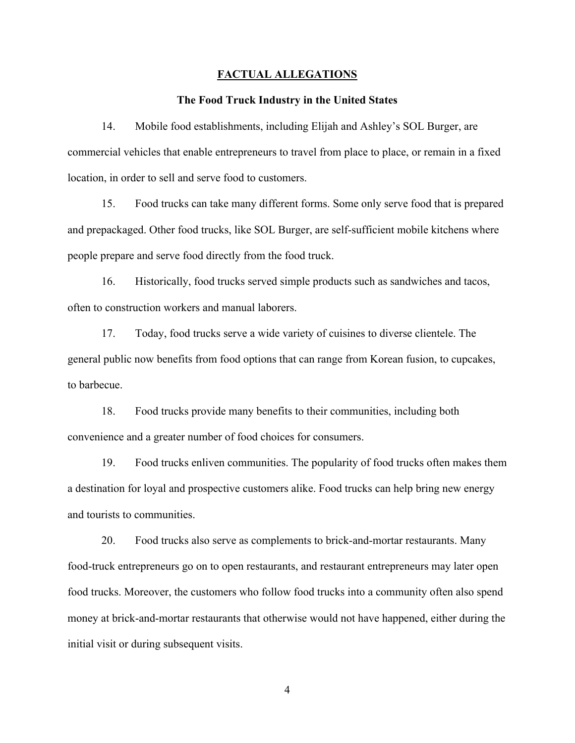### **FACTUAL ALLEGATIONS**

### **The Food Truck Industry in the United States**

14. Mobile food establishments, including Elijah and Ashley's SOL Burger, are commercial vehicles that enable entrepreneurs to travel from place to place, or remain in a fixed location, in order to sell and serve food to customers.

15. Food trucks can take many different forms. Some only serve food that is prepared and prepackaged. Other food trucks, like SOL Burger, are self-sufficient mobile kitchens where people prepare and serve food directly from the food truck.

16. Historically, food trucks served simple products such as sandwiches and tacos, often to construction workers and manual laborers.

17. Today, food trucks serve a wide variety of cuisines to diverse clientele. The general public now benefits from food options that can range from Korean fusion, to cupcakes, to barbecue.

18. Food trucks provide many benefits to their communities, including both convenience and a greater number of food choices for consumers.

19. Food trucks enliven communities. The popularity of food trucks often makes them a destination for loyal and prospective customers alike. Food trucks can help bring new energy and tourists to communities.

20. Food trucks also serve as complements to brick-and-mortar restaurants. Many food-truck entrepreneurs go on to open restaurants, and restaurant entrepreneurs may later open food trucks. Moreover, the customers who follow food trucks into a community often also spend money at brick-and-mortar restaurants that otherwise would not have happened, either during the initial visit or during subsequent visits.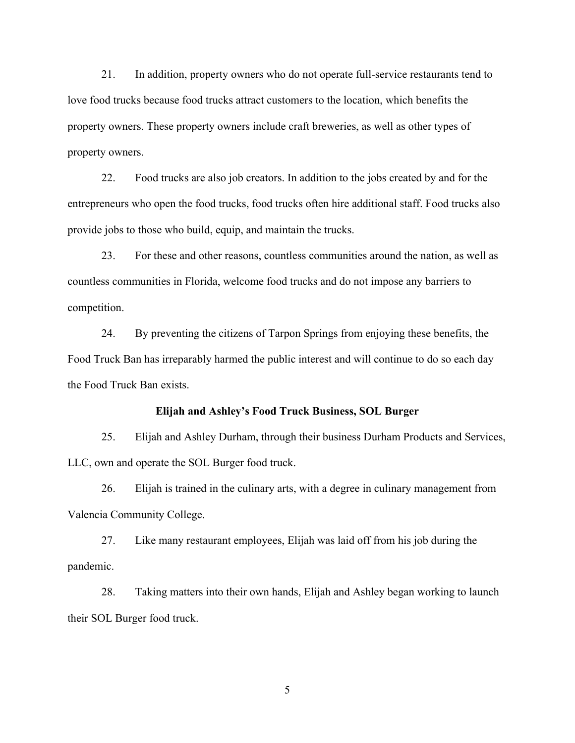21. In addition, property owners who do not operate full-service restaurants tend to love food trucks because food trucks attract customers to the location, which benefits the property owners. These property owners include craft breweries, as well as other types of property owners.

22. Food trucks are also job creators. In addition to the jobs created by and for the entrepreneurs who open the food trucks, food trucks often hire additional staff. Food trucks also provide jobs to those who build, equip, and maintain the trucks.

23. For these and other reasons, countless communities around the nation, as well as countless communities in Florida, welcome food trucks and do not impose any barriers to competition.

24. By preventing the citizens of Tarpon Springs from enjoying these benefits, the Food Truck Ban has irreparably harmed the public interest and will continue to do so each day the Food Truck Ban exists.

### **Elijah and Ashley's Food Truck Business, SOL Burger**

25. Elijah and Ashley Durham, through their business Durham Products and Services, LLC, own and operate the SOL Burger food truck.

26. Elijah is trained in the culinary arts, with a degree in culinary management from Valencia Community College.

27. Like many restaurant employees, Elijah was laid off from his job during the pandemic.

28. Taking matters into their own hands, Elijah and Ashley began working to launch their SOL Burger food truck.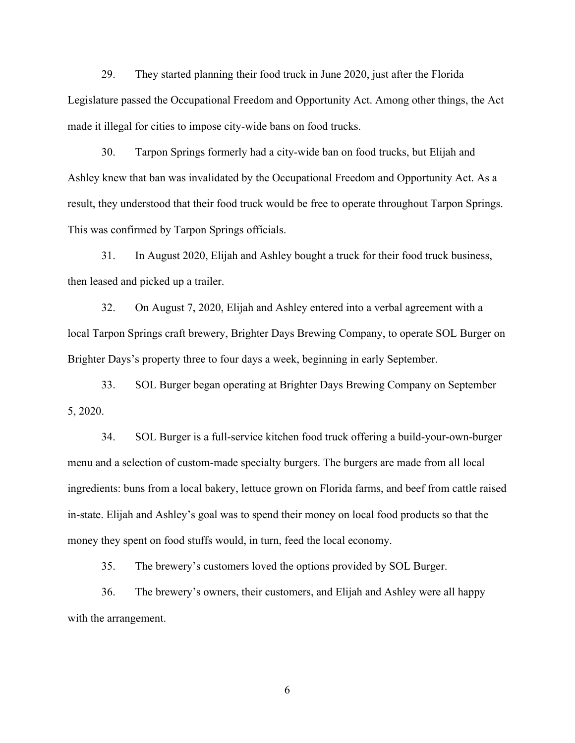29. They started planning their food truck in June 2020, just after the Florida Legislature passed the Occupational Freedom and Opportunity Act. Among other things, the Act made it illegal for cities to impose city-wide bans on food trucks.

30. Tarpon Springs formerly had a city-wide ban on food trucks, but Elijah and Ashley knew that ban was invalidated by the Occupational Freedom and Opportunity Act. As a result, they understood that their food truck would be free to operate throughout Tarpon Springs. This was confirmed by Tarpon Springs officials.

31. In August 2020, Elijah and Ashley bought a truck for their food truck business, then leased and picked up a trailer.

32. On August 7, 2020, Elijah and Ashley entered into a verbal agreement with a local Tarpon Springs craft brewery, Brighter Days Brewing Company, to operate SOL Burger on Brighter Days's property three to four days a week, beginning in early September.

33. SOL Burger began operating at Brighter Days Brewing Company on September 5, 2020.

34. SOL Burger is a full-service kitchen food truck offering a build-your-own-burger menu and a selection of custom-made specialty burgers. The burgers are made from all local ingredients: buns from a local bakery, lettuce grown on Florida farms, and beef from cattle raised in-state. Elijah and Ashley's goal was to spend their money on local food products so that the money they spent on food stuffs would, in turn, feed the local economy.

35. The brewery's customers loved the options provided by SOL Burger.

36. The brewery's owners, their customers, and Elijah and Ashley were all happy with the arrangement.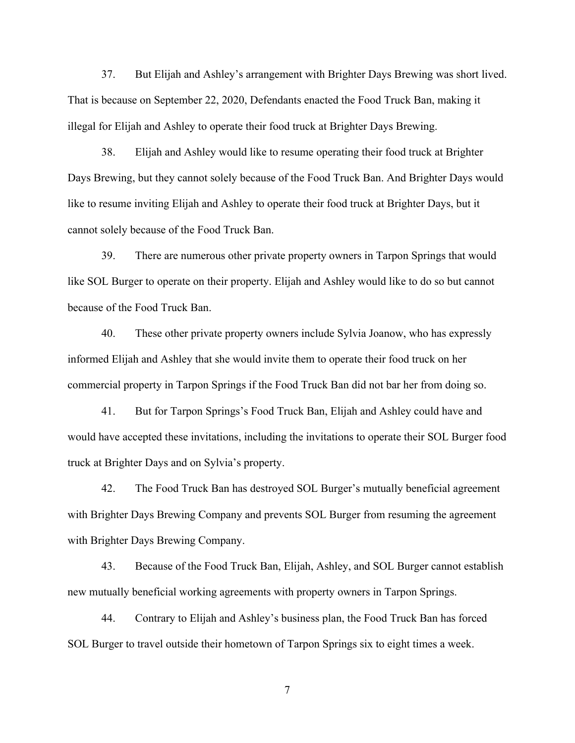37. But Elijah and Ashley's arrangement with Brighter Days Brewing was short lived. That is because on September 22, 2020, Defendants enacted the Food Truck Ban, making it illegal for Elijah and Ashley to operate their food truck at Brighter Days Brewing.

38. Elijah and Ashley would like to resume operating their food truck at Brighter Days Brewing, but they cannot solely because of the Food Truck Ban. And Brighter Days would like to resume inviting Elijah and Ashley to operate their food truck at Brighter Days, but it cannot solely because of the Food Truck Ban.

39. There are numerous other private property owners in Tarpon Springs that would like SOL Burger to operate on their property. Elijah and Ashley would like to do so but cannot because of the Food Truck Ban.

40. These other private property owners include Sylvia Joanow, who has expressly informed Elijah and Ashley that she would invite them to operate their food truck on her commercial property in Tarpon Springs if the Food Truck Ban did not bar her from doing so.

41. But for Tarpon Springs's Food Truck Ban, Elijah and Ashley could have and would have accepted these invitations, including the invitations to operate their SOL Burger food truck at Brighter Days and on Sylvia's property.

42. The Food Truck Ban has destroyed SOL Burger's mutually beneficial agreement with Brighter Days Brewing Company and prevents SOL Burger from resuming the agreement with Brighter Days Brewing Company.

43. Because of the Food Truck Ban, Elijah, Ashley, and SOL Burger cannot establish new mutually beneficial working agreements with property owners in Tarpon Springs.

44. Contrary to Elijah and Ashley's business plan, the Food Truck Ban has forced SOL Burger to travel outside their hometown of Tarpon Springs six to eight times a week.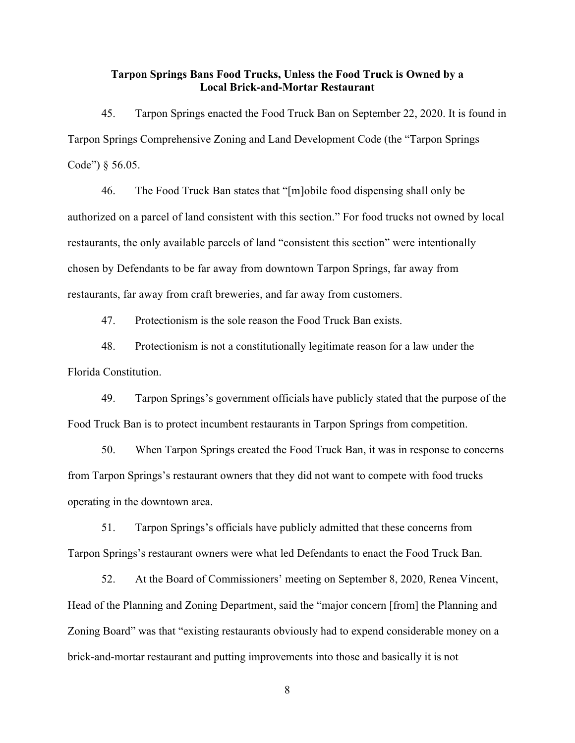# **Tarpon Springs Bans Food Trucks, Unless the Food Truck is Owned by a Local Brick-and-Mortar Restaurant**

45. Tarpon Springs enacted the Food Truck Ban on September 22, 2020. It is found in Tarpon Springs Comprehensive Zoning and Land Development Code (the "Tarpon Springs Code") § 56.05.

46. The Food Truck Ban states that "[m]obile food dispensing shall only be authorized on a parcel of land consistent with this section." For food trucks not owned by local restaurants, the only available parcels of land "consistent this section" were intentionally chosen by Defendants to be far away from downtown Tarpon Springs, far away from restaurants, far away from craft breweries, and far away from customers.

47. Protectionism is the sole reason the Food Truck Ban exists.

48. Protectionism is not a constitutionally legitimate reason for a law under the Florida Constitution.

49. Tarpon Springs's government officials have publicly stated that the purpose of the Food Truck Ban is to protect incumbent restaurants in Tarpon Springs from competition.

50. When Tarpon Springs created the Food Truck Ban, it was in response to concerns from Tarpon Springs's restaurant owners that they did not want to compete with food trucks operating in the downtown area.

51. Tarpon Springs's officials have publicly admitted that these concerns from Tarpon Springs's restaurant owners were what led Defendants to enact the Food Truck Ban.

52. At the Board of Commissioners' meeting on September 8, 2020, Renea Vincent, Head of the Planning and Zoning Department, said the "major concern [from] the Planning and Zoning Board" was that "existing restaurants obviously had to expend considerable money on a brick-and-mortar restaurant and putting improvements into those and basically it is not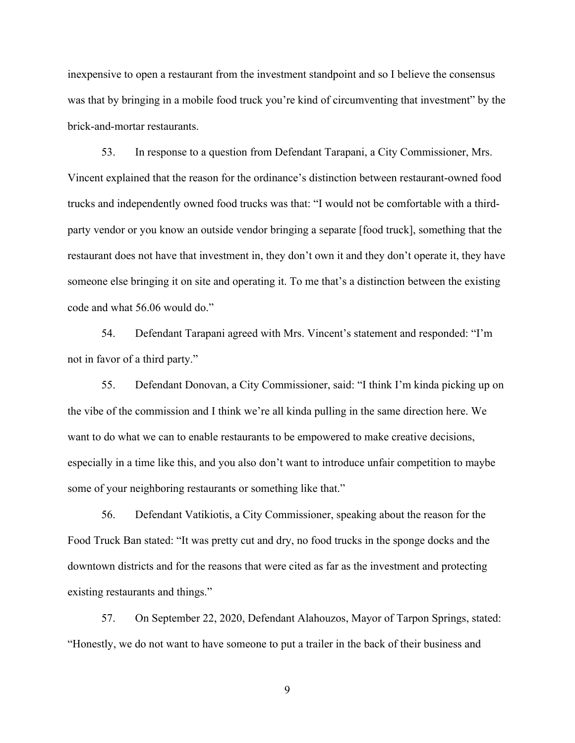inexpensive to open a restaurant from the investment standpoint and so I believe the consensus was that by bringing in a mobile food truck you're kind of circumventing that investment" by the brick-and-mortar restaurants.

53. In response to a question from Defendant Tarapani, a City Commissioner, Mrs. Vincent explained that the reason for the ordinance's distinction between restaurant-owned food trucks and independently owned food trucks was that: "I would not be comfortable with a thirdparty vendor or you know an outside vendor bringing a separate [food truck], something that the restaurant does not have that investment in, they don't own it and they don't operate it, they have someone else bringing it on site and operating it. To me that's a distinction between the existing code and what 56.06 would do."

54. Defendant Tarapani agreed with Mrs. Vincent's statement and responded: "I'm not in favor of a third party."

55. Defendant Donovan, a City Commissioner, said: "I think I'm kinda picking up on the vibe of the commission and I think we're all kinda pulling in the same direction here. We want to do what we can to enable restaurants to be empowered to make creative decisions, especially in a time like this, and you also don't want to introduce unfair competition to maybe some of your neighboring restaurants or something like that."

56. Defendant Vatikiotis, a City Commissioner, speaking about the reason for the Food Truck Ban stated: "It was pretty cut and dry, no food trucks in the sponge docks and the downtown districts and for the reasons that were cited as far as the investment and protecting existing restaurants and things."

57. On September 22, 2020, Defendant Alahouzos, Mayor of Tarpon Springs, stated: "Honestly, we do not want to have someone to put a trailer in the back of their business and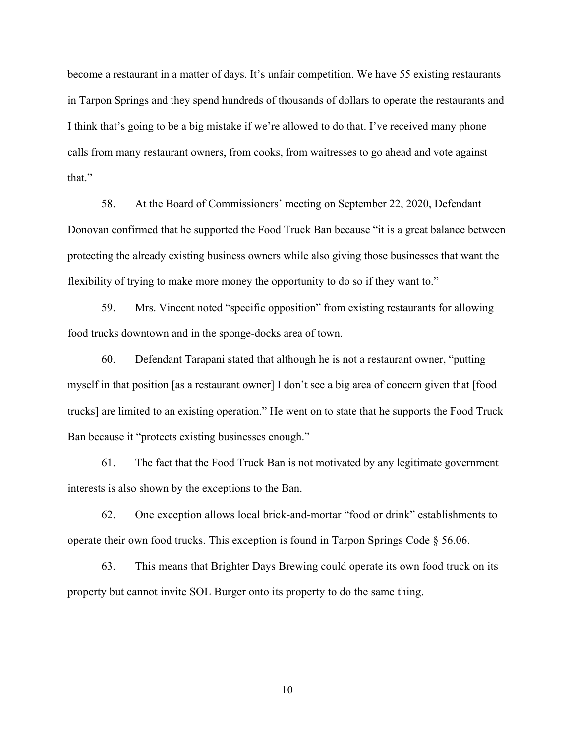become a restaurant in a matter of days. It's unfair competition. We have 55 existing restaurants in Tarpon Springs and they spend hundreds of thousands of dollars to operate the restaurants and I think that's going to be a big mistake if we're allowed to do that. I've received many phone calls from many restaurant owners, from cooks, from waitresses to go ahead and vote against that."

58. At the Board of Commissioners' meeting on September 22, 2020, Defendant Donovan confirmed that he supported the Food Truck Ban because "it is a great balance between protecting the already existing business owners while also giving those businesses that want the flexibility of trying to make more money the opportunity to do so if they want to."

59. Mrs. Vincent noted "specific opposition" from existing restaurants for allowing food trucks downtown and in the sponge-docks area of town.

60. Defendant Tarapani stated that although he is not a restaurant owner, "putting myself in that position [as a restaurant owner] I don't see a big area of concern given that [food trucks] are limited to an existing operation." He went on to state that he supports the Food Truck Ban because it "protects existing businesses enough."

61. The fact that the Food Truck Ban is not motivated by any legitimate government interests is also shown by the exceptions to the Ban.

62. One exception allows local brick-and-mortar "food or drink" establishments to operate their own food trucks. This exception is found in Tarpon Springs Code § 56.06.

63. This means that Brighter Days Brewing could operate its own food truck on its property but cannot invite SOL Burger onto its property to do the same thing.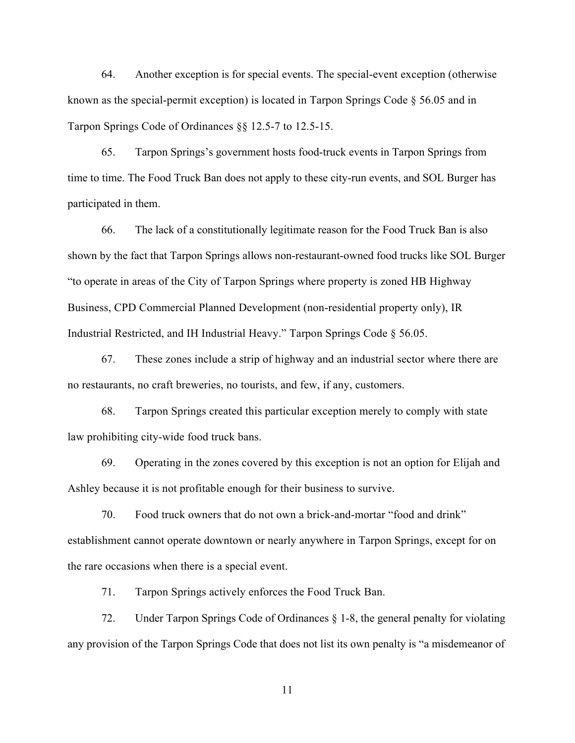64. Another exception is for special events. The special-event exception (otherwise known as the special-permit exception) is located in Tarpon Springs Code § 56.05 and in Tarpon Springs Code of Ordinances §§ 12.5-7 to 12.5-15.

65. Tarpon Springs's government hosts food-truck events in Tarpon Springs from time to time. The Food Truck Ban does not apply to these city-run events, and SOL Burger has participated in them.

66. The lack of a constitutionally legitimate reason for the Food Truck Ban is also shown by the fact that Tarpon Springs allows non-restaurant-owned food trucks like SOL Burger "to operate in areas of the City of Tarpon Springs where property is zoned HB Highway Business, CPD Commercial Planned Development (non-residential property only), IR Industrial Restricted, and IH Industrial Heavy." Tarpon Springs Code § 56.05.

67. These zones include a strip of highway and an industrial sector where there are no restaurants, no craft breweries, no tourists, and few, if any, customers.

68. Tarpon Springs created this particular exception merely to comply with state law prohibiting city-wide food truck bans.

69. Operating in the zones covered by this exception is not an option for Elijah and Ashley because it is not profitable enough for their business to survive.

70. Food truck owners that do not own a brick-and-mortar "food and drink" establishment cannot operate downtown or nearly anywhere in Tarpon Springs, except for on the rare occasions when there is a special event.

71. Tarpon Springs actively enforces the Food Truck Ban.

72. Under Tarpon Springs Code of Ordinances § 1-8, the general penalty for violating any provision of the Tarpon Springs Code that does not list its own penalty is "a misdemeanor of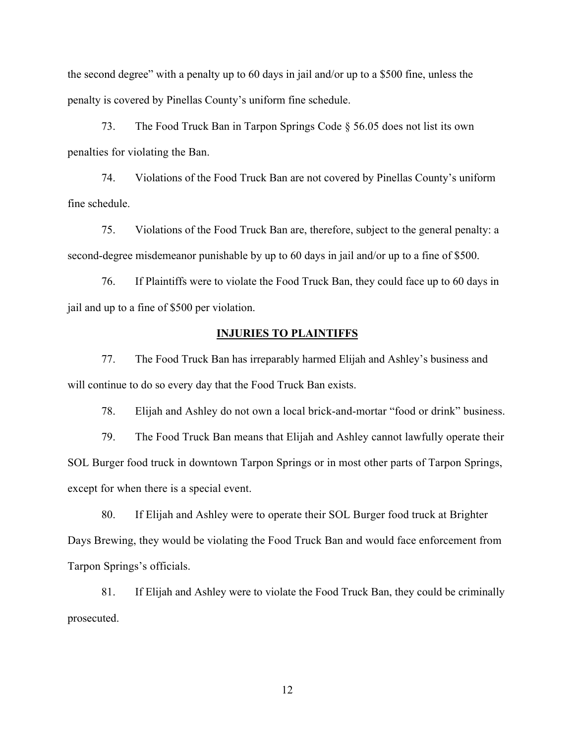the second degree" with a penalty up to 60 days in jail and/or up to a \$500 fine, unless the penalty is covered by Pinellas County's uniform fine schedule.

73. The Food Truck Ban in Tarpon Springs Code § 56.05 does not list its own penalties for violating the Ban.

74. Violations of the Food Truck Ban are not covered by Pinellas County's uniform fine schedule.

75. Violations of the Food Truck Ban are, therefore, subject to the general penalty: a second-degree misdemeanor punishable by up to 60 days in jail and/or up to a fine of \$500.

76. If Plaintiffs were to violate the Food Truck Ban, they could face up to 60 days in jail and up to a fine of \$500 per violation.

# **INJURIES TO PLAINTIFFS**

77. The Food Truck Ban has irreparably harmed Elijah and Ashley's business and will continue to do so every day that the Food Truck Ban exists.

78. Elijah and Ashley do not own a local brick-and-mortar "food or drink" business.

79. The Food Truck Ban means that Elijah and Ashley cannot lawfully operate their SOL Burger food truck in downtown Tarpon Springs or in most other parts of Tarpon Springs, except for when there is a special event.

80. If Elijah and Ashley were to operate their SOL Burger food truck at Brighter Days Brewing, they would be violating the Food Truck Ban and would face enforcement from Tarpon Springs's officials.

81. If Elijah and Ashley were to violate the Food Truck Ban, they could be criminally prosecuted.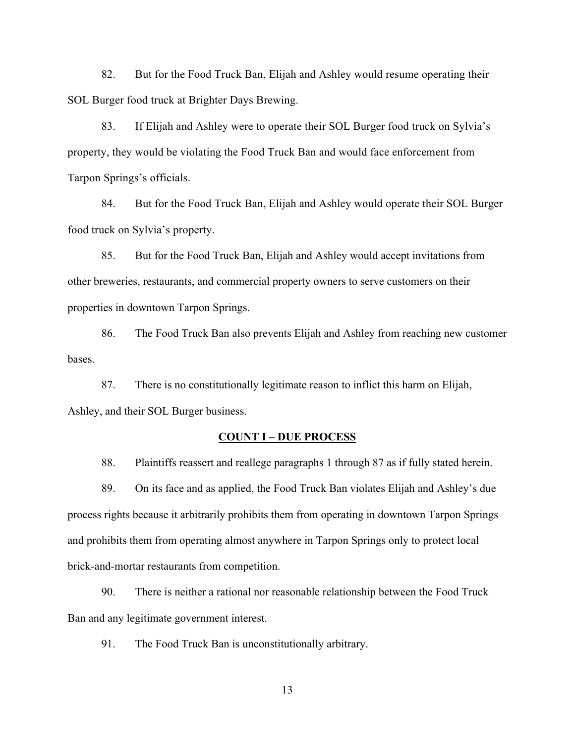82. But for the Food Truck Ban, Elijah and Ashley would resume operating their SOL Burger food truck at Brighter Days Brewing.

83. If Elijah and Ashley were to operate their SOL Burger food truck on Sylvia's property, they would be violating the Food Truck Ban and would face enforcement from Tarpon Springs's officials.

84. But for the Food Truck Ban, Elijah and Ashley would operate their SOL Burger food truck on Sylvia's property.

85. But for the Food Truck Ban, Elijah and Ashley would accept invitations from other breweries, restaurants, and commercial property owners to serve customers on their properties in downtown Tarpon Springs.

86. The Food Truck Ban also prevents Elijah and Ashley from reaching new customer bases.

87. There is no constitutionally legitimate reason to inflict this harm on Elijah, Ashley, and their SOL Burger business.

### **COUNT I – DUE PROCESS**

88. Plaintiffs reassert and reallege paragraphs 1 through 87 as if fully stated herein.

89. On its face and as applied, the Food Truck Ban violates Elijah and Ashley's due process rights because it arbitrarily prohibits them from operating in downtown Tarpon Springs and prohibits them from operating almost anywhere in Tarpon Springs only to protect local brick-and-mortar restaurants from competition.

90. There is neither a rational nor reasonable relationship between the Food Truck Ban and any legitimate government interest.

91. The Food Truck Ban is unconstitutionally arbitrary.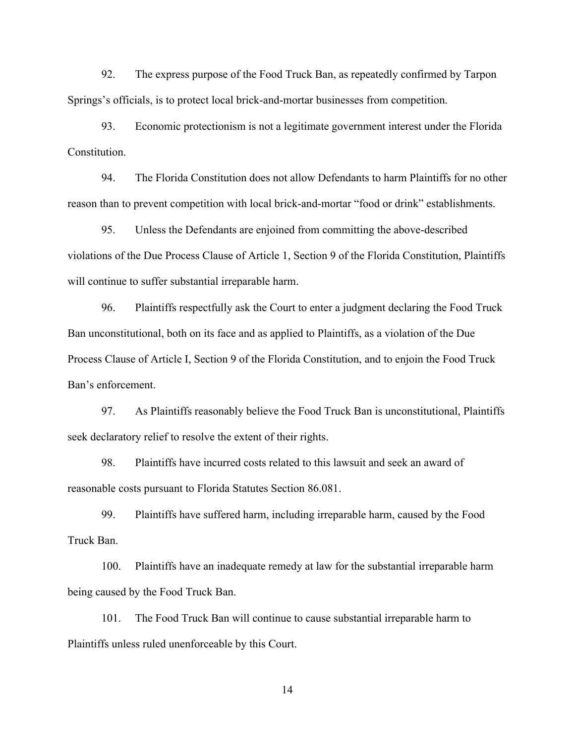92. The express purpose of the Food Truck Ban, as repeatedly confirmed by Tarpon Springs's officials, is to protect local brick-and-mortar businesses from competition.

93. Economic protectionism is not a legitimate government interest under the Florida **Constitution** 

94. The Florida Constitution does not allow Defendants to harm Plaintiffs for no other reason than to prevent competition with local brick-and-mortar "food or drink" establishments.

95. Unless the Defendants are enjoined from committing the above-described violations of the Due Process Clause of Article 1, Section 9 of the Florida Constitution, Plaintiffs will continue to suffer substantial irreparable harm.

96. Plaintiffs respectfully ask the Court to enter a judgment declaring the Food Truck Ban unconstitutional, both on its face and as applied to Plaintiffs, as a violation of the Due Process Clause of Article I, Section 9 of the Florida Constitution, and to enjoin the Food Truck Ban's enforcement.

97. As Plaintiffs reasonably believe the Food Truck Ban is unconstitutional, Plaintiffs seek declaratory relief to resolve the extent of their rights.

98. Plaintiffs have incurred costs related to this lawsuit and seek an award of reasonable costs pursuant to Florida Statutes Section 86.081.

99. Plaintiffs have suffered harm, including irreparable harm, caused by the Food Truck Ban.

100. Plaintiffs have an inadequate remedy at law for the substantial irreparable harm being caused by the Food Truck Ban.

101. The Food Truck Ban will continue to cause substantial irreparable harm to Plaintiffs unless ruled unenforceable by this Court.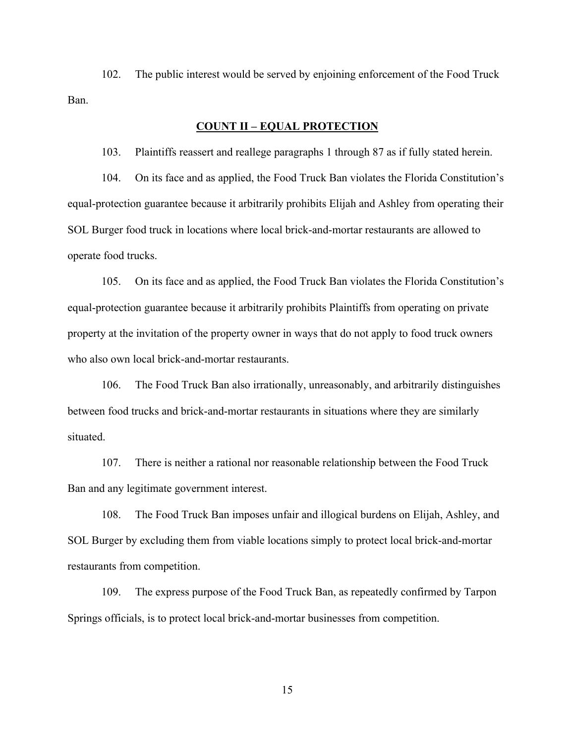102. The public interest would be served by enjoining enforcement of the Food Truck Ban.

# **COUNT II – EQUAL PROTECTION**

103. Plaintiffs reassert and reallege paragraphs 1 through 87 as if fully stated herein.

104. On its face and as applied, the Food Truck Ban violates the Florida Constitution's equal-protection guarantee because it arbitrarily prohibits Elijah and Ashley from operating their SOL Burger food truck in locations where local brick-and-mortar restaurants are allowed to operate food trucks.

105. On its face and as applied, the Food Truck Ban violates the Florida Constitution's equal-protection guarantee because it arbitrarily prohibits Plaintiffs from operating on private property at the invitation of the property owner in ways that do not apply to food truck owners who also own local brick-and-mortar restaurants.

106. The Food Truck Ban also irrationally, unreasonably, and arbitrarily distinguishes between food trucks and brick-and-mortar restaurants in situations where they are similarly situated.

107. There is neither a rational nor reasonable relationship between the Food Truck Ban and any legitimate government interest.

108. The Food Truck Ban imposes unfair and illogical burdens on Elijah, Ashley, and SOL Burger by excluding them from viable locations simply to protect local brick-and-mortar restaurants from competition.

109. The express purpose of the Food Truck Ban, as repeatedly confirmed by Tarpon Springs officials, is to protect local brick-and-mortar businesses from competition.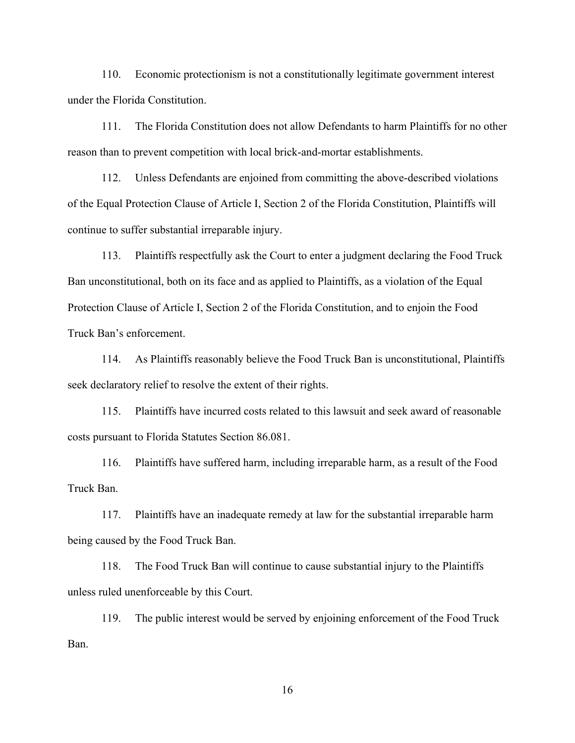110. Economic protectionism is not a constitutionally legitimate government interest under the Florida Constitution.

111. The Florida Constitution does not allow Defendants to harm Plaintiffs for no other reason than to prevent competition with local brick-and-mortar establishments.

112. Unless Defendants are enjoined from committing the above-described violations of the Equal Protection Clause of Article I, Section 2 of the Florida Constitution, Plaintiffs will continue to suffer substantial irreparable injury.

113. Plaintiffs respectfully ask the Court to enter a judgment declaring the Food Truck Ban unconstitutional, both on its face and as applied to Plaintiffs, as a violation of the Equal Protection Clause of Article I, Section 2 of the Florida Constitution, and to enjoin the Food Truck Ban's enforcement.

114. As Plaintiffs reasonably believe the Food Truck Ban is unconstitutional, Plaintiffs seek declaratory relief to resolve the extent of their rights.

115. Plaintiffs have incurred costs related to this lawsuit and seek award of reasonable costs pursuant to Florida Statutes Section 86.081.

116. Plaintiffs have suffered harm, including irreparable harm, as a result of the Food Truck Ban.

117. Plaintiffs have an inadequate remedy at law for the substantial irreparable harm being caused by the Food Truck Ban.

118. The Food Truck Ban will continue to cause substantial injury to the Plaintiffs unless ruled unenforceable by this Court.

119. The public interest would be served by enjoining enforcement of the Food Truck Ban.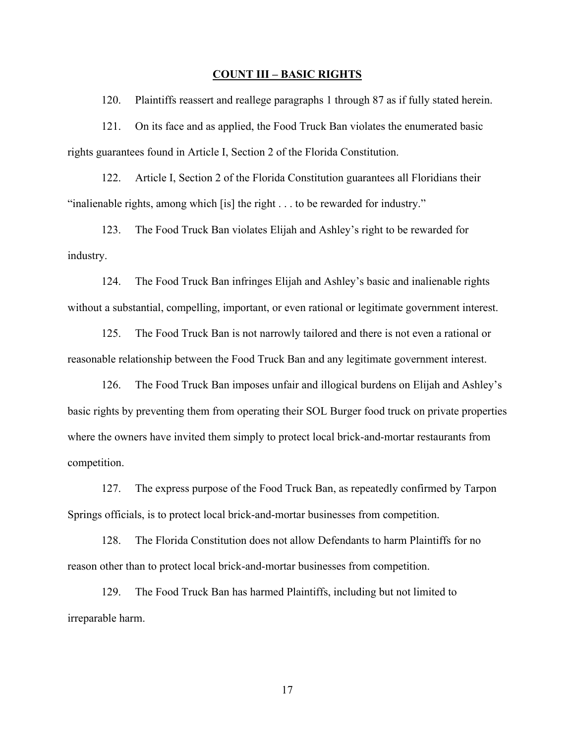#### **COUNT III – BASIC RIGHTS**

120. Plaintiffs reassert and reallege paragraphs 1 through 87 as if fully stated herein.

121. On its face and as applied, the Food Truck Ban violates the enumerated basic rights guarantees found in Article I, Section 2 of the Florida Constitution.

122. Article I, Section 2 of the Florida Constitution guarantees all Floridians their "inalienable rights, among which [is] the right . . . to be rewarded for industry."

123. The Food Truck Ban violates Elijah and Ashley's right to be rewarded for industry.

124. The Food Truck Ban infringes Elijah and Ashley's basic and inalienable rights without a substantial, compelling, important, or even rational or legitimate government interest.

125. The Food Truck Ban is not narrowly tailored and there is not even a rational or reasonable relationship between the Food Truck Ban and any legitimate government interest.

126. The Food Truck Ban imposes unfair and illogical burdens on Elijah and Ashley's basic rights by preventing them from operating their SOL Burger food truck on private properties where the owners have invited them simply to protect local brick-and-mortar restaurants from competition.

127. The express purpose of the Food Truck Ban, as repeatedly confirmed by Tarpon Springs officials, is to protect local brick-and-mortar businesses from competition.

128. The Florida Constitution does not allow Defendants to harm Plaintiffs for no reason other than to protect local brick-and-mortar businesses from competition.

129. The Food Truck Ban has harmed Plaintiffs, including but not limited to irreparable harm.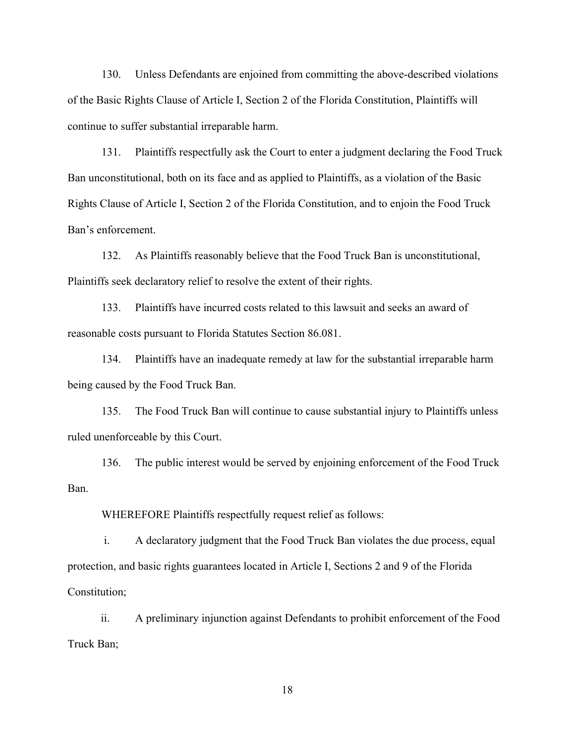130. Unless Defendants are enjoined from committing the above-described violations of the Basic Rights Clause of Article I, Section 2 of the Florida Constitution, Plaintiffs will continue to suffer substantial irreparable harm.

131. Plaintiffs respectfully ask the Court to enter a judgment declaring the Food Truck Ban unconstitutional, both on its face and as applied to Plaintiffs, as a violation of the Basic Rights Clause of Article I, Section 2 of the Florida Constitution, and to enjoin the Food Truck Ban's enforcement.

132. As Plaintiffs reasonably believe that the Food Truck Ban is unconstitutional, Plaintiffs seek declaratory relief to resolve the extent of their rights.

133. Plaintiffs have incurred costs related to this lawsuit and seeks an award of reasonable costs pursuant to Florida Statutes Section 86.081.

134. Plaintiffs have an inadequate remedy at law for the substantial irreparable harm being caused by the Food Truck Ban.

135. The Food Truck Ban will continue to cause substantial injury to Plaintiffs unless ruled unenforceable by this Court.

136. The public interest would be served by enjoining enforcement of the Food Truck Ban.

WHEREFORE Plaintiffs respectfully request relief as follows:

i. A declaratory judgment that the Food Truck Ban violates the due process, equal protection, and basic rights guarantees located in Article I, Sections 2 and 9 of the Florida Constitution;

ii. A preliminary injunction against Defendants to prohibit enforcement of the Food Truck Ban;